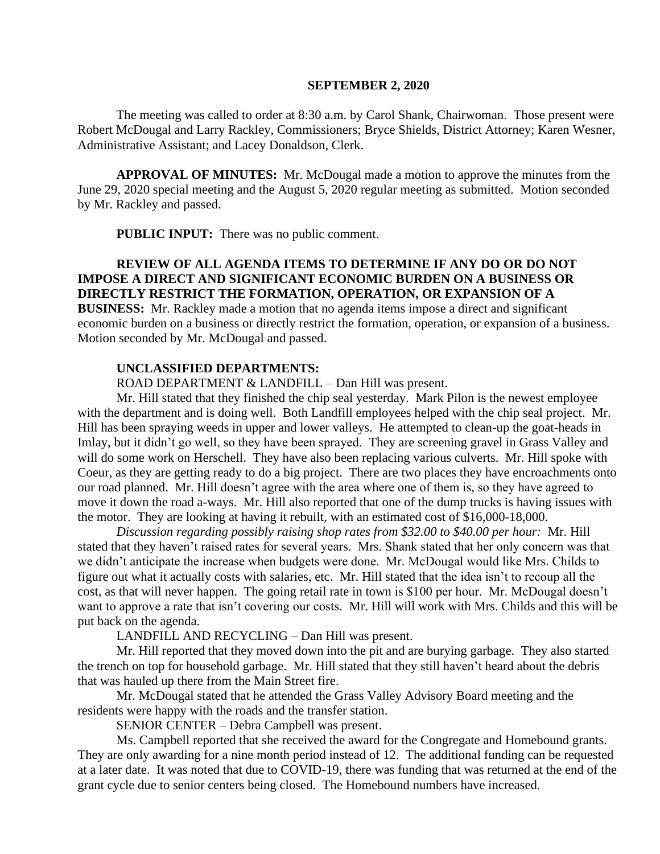#### **SEPTEMBER 2, 2020**

The meeting was called to order at 8:30 a.m. by Carol Shank, Chairwoman. Those present were Robert McDougal and Larry Rackley, Commissioners; Bryce Shields, District Attorney; Karen Wesner, Administrative Assistant; and Lacey Donaldson, Clerk.

**APPROVAL OF MINUTES:** Mr. McDougal made a motion to approve the minutes from the June 29, 2020 special meeting and the August 5, 2020 regular meeting as submitted. Motion seconded by Mr. Rackley and passed.

**PUBLIC INPUT:** There was no public comment.

# **REVIEW OF ALL AGENDA ITEMS TO DETERMINE IF ANY DO OR DO NOT IMPOSE A DIRECT AND SIGNIFICANT ECONOMIC BURDEN ON A BUSINESS OR DIRECTLY RESTRICT THE FORMATION, OPERATION, OR EXPANSION OF A BUSINESS:** Mr. Rackley made a motion that no agenda items impose a direct and significant

economic burden on a business or directly restrict the formation, operation, or expansion of a business. Motion seconded by Mr. McDougal and passed.

## **UNCLASSIFIED DEPARTMENTS:**

ROAD DEPARTMENT & LANDFILL – Dan Hill was present.

Mr. Hill stated that they finished the chip seal yesterday. Mark Pilon is the newest employee with the department and is doing well. Both Landfill employees helped with the chip seal project. Mr. Hill has been spraying weeds in upper and lower valleys. He attempted to clean-up the goat-heads in Imlay, but it didn't go well, so they have been sprayed. They are screening gravel in Grass Valley and will do some work on Herschell. They have also been replacing various culverts. Mr. Hill spoke with Coeur, as they are getting ready to do a big project. There are two places they have encroachments onto our road planned. Mr. Hill doesn't agree with the area where one of them is, so they have agreed to move it down the road a-ways. Mr. Hill also reported that one of the dump trucks is having issues with the motor. They are looking at having it rebuilt, with an estimated cost of \$16,000-18,000.

*Discussion regarding possibly raising shop rates from \$32.00 to \$40.00 per hour:* Mr. Hill stated that they haven't raised rates for several years. Mrs. Shank stated that her only concern was that we didn't anticipate the increase when budgets were done. Mr. McDougal would like Mrs. Childs to figure out what it actually costs with salaries, etc. Mr. Hill stated that the idea isn't to recoup all the cost, as that will never happen. The going retail rate in town is \$100 per hour. Mr. McDougal doesn't want to approve a rate that isn't covering our costs. Mr. Hill will work with Mrs. Childs and this will be put back on the agenda.

LANDFILL AND RECYCLING – Dan Hill was present.

Mr. Hill reported that they moved down into the pit and are burying garbage. They also started the trench on top for household garbage. Mr. Hill stated that they still haven't heard about the debris that was hauled up there from the Main Street fire.

Mr. McDougal stated that he attended the Grass Valley Advisory Board meeting and the residents were happy with the roads and the transfer station.

SENIOR CENTER – Debra Campbell was present.

Ms. Campbell reported that she received the award for the Congregate and Homebound grants. They are only awarding for a nine month period instead of 12. The additional funding can be requested at a later date. It was noted that due to COVID-19, there was funding that was returned at the end of the grant cycle due to senior centers being closed. The Homebound numbers have increased.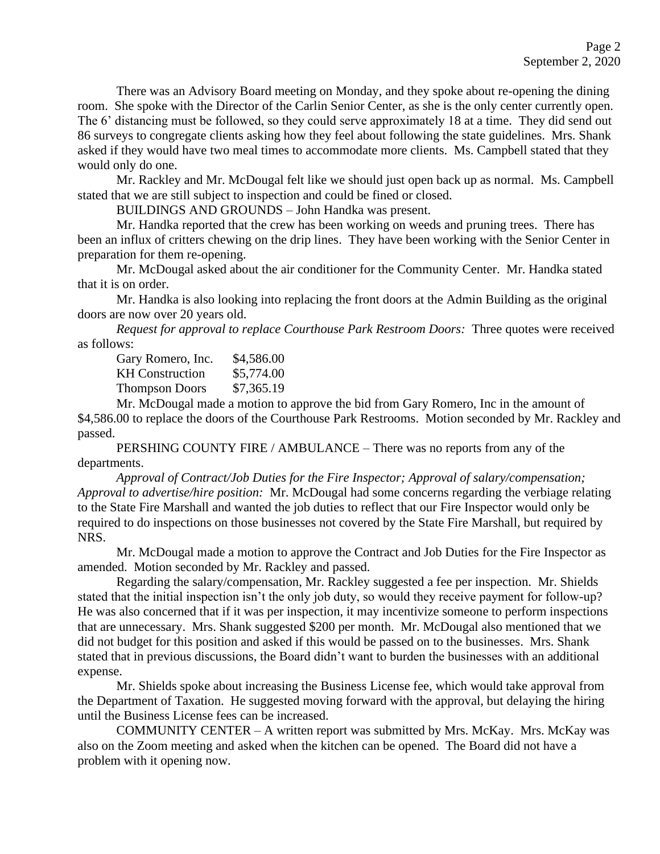There was an Advisory Board meeting on Monday, and they spoke about re-opening the dining room. She spoke with the Director of the Carlin Senior Center, as she is the only center currently open. The 6' distancing must be followed, so they could serve approximately 18 at a time. They did send out 86 surveys to congregate clients asking how they feel about following the state guidelines. Mrs. Shank asked if they would have two meal times to accommodate more clients. Ms. Campbell stated that they would only do one.

Mr. Rackley and Mr. McDougal felt like we should just open back up as normal. Ms. Campbell stated that we are still subject to inspection and could be fined or closed.

BUILDINGS AND GROUNDS – John Handka was present.

Mr. Handka reported that the crew has been working on weeds and pruning trees. There has been an influx of critters chewing on the drip lines. They have been working with the Senior Center in preparation for them re-opening.

Mr. McDougal asked about the air conditioner for the Community Center. Mr. Handka stated that it is on order.

Mr. Handka is also looking into replacing the front doors at the Admin Building as the original doors are now over 20 years old.

*Request for approval to replace Courthouse Park Restroom Doors:* Three quotes were received as follows:

| \$4,586.00 |
|------------|
| \$5,774.00 |
| \$7,365.19 |
|            |

Mr. McDougal made a motion to approve the bid from Gary Romero, Inc in the amount of \$4,586.00 to replace the doors of the Courthouse Park Restrooms. Motion seconded by Mr. Rackley and passed.

PERSHING COUNTY FIRE / AMBULANCE – There was no reports from any of the departments.

*Approval of Contract/Job Duties for the Fire Inspector; Approval of salary/compensation; Approval to advertise/hire position:* Mr. McDougal had some concerns regarding the verbiage relating to the State Fire Marshall and wanted the job duties to reflect that our Fire Inspector would only be required to do inspections on those businesses not covered by the State Fire Marshall, but required by NRS.

Mr. McDougal made a motion to approve the Contract and Job Duties for the Fire Inspector as amended. Motion seconded by Mr. Rackley and passed.

Regarding the salary/compensation, Mr. Rackley suggested a fee per inspection. Mr. Shields stated that the initial inspection isn't the only job duty, so would they receive payment for follow-up? He was also concerned that if it was per inspection, it may incentivize someone to perform inspections that are unnecessary. Mrs. Shank suggested \$200 per month. Mr. McDougal also mentioned that we did not budget for this position and asked if this would be passed on to the businesses. Mrs. Shank stated that in previous discussions, the Board didn't want to burden the businesses with an additional expense.

Mr. Shields spoke about increasing the Business License fee, which would take approval from the Department of Taxation. He suggested moving forward with the approval, but delaying the hiring until the Business License fees can be increased.

COMMUNITY CENTER – A written report was submitted by Mrs. McKay. Mrs. McKay was also on the Zoom meeting and asked when the kitchen can be opened. The Board did not have a problem with it opening now.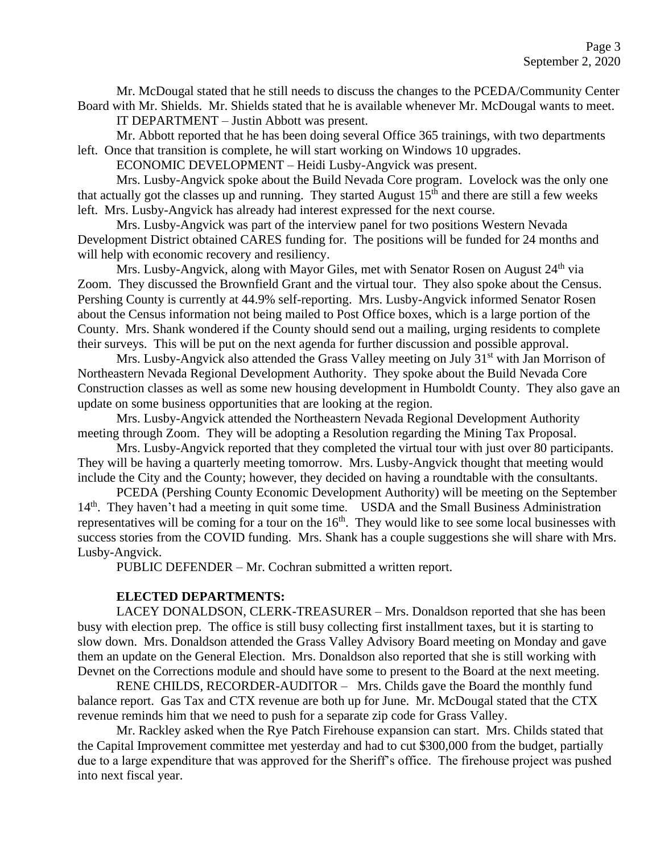Mr. McDougal stated that he still needs to discuss the changes to the PCEDA/Community Center Board with Mr. Shields. Mr. Shields stated that he is available whenever Mr. McDougal wants to meet. IT DEPARTMENT – Justin Abbott was present.

Mr. Abbott reported that he has been doing several Office 365 trainings, with two departments left. Once that transition is complete, he will start working on Windows 10 upgrades.

ECONOMIC DEVELOPMENT – Heidi Lusby-Angvick was present.

Mrs. Lusby-Angvick spoke about the Build Nevada Core program. Lovelock was the only one that actually got the classes up and running. They started August  $15<sup>th</sup>$  and there are still a few weeks left. Mrs. Lusby-Angvick has already had interest expressed for the next course.

Mrs. Lusby-Angvick was part of the interview panel for two positions Western Nevada Development District obtained CARES funding for. The positions will be funded for 24 months and will help with economic recovery and resiliency.

Mrs. Lusby-Angvick, along with Mayor Giles, met with Senator Rosen on August  $24<sup>th</sup>$  via Zoom. They discussed the Brownfield Grant and the virtual tour. They also spoke about the Census. Pershing County is currently at 44.9% self-reporting. Mrs. Lusby-Angvick informed Senator Rosen about the Census information not being mailed to Post Office boxes, which is a large portion of the County. Mrs. Shank wondered if the County should send out a mailing, urging residents to complete their surveys. This will be put on the next agenda for further discussion and possible approval.

Mrs. Lusby-Angvick also attended the Grass Valley meeting on July  $31<sup>st</sup>$  with Jan Morrison of Northeastern Nevada Regional Development Authority. They spoke about the Build Nevada Core Construction classes as well as some new housing development in Humboldt County. They also gave an update on some business opportunities that are looking at the region.

Mrs. Lusby-Angvick attended the Northeastern Nevada Regional Development Authority meeting through Zoom. They will be adopting a Resolution regarding the Mining Tax Proposal.

Mrs. Lusby-Angvick reported that they completed the virtual tour with just over 80 participants. They will be having a quarterly meeting tomorrow. Mrs. Lusby-Angvick thought that meeting would include the City and the County; however, they decided on having a roundtable with the consultants.

PCEDA (Pershing County Economic Development Authority) will be meeting on the September 14<sup>th</sup>. They haven't had a meeting in quit some time. USDA and the Small Business Administration representatives will be coming for a tour on the  $16<sup>th</sup>$ . They would like to see some local businesses with success stories from the COVID funding. Mrs. Shank has a couple suggestions she will share with Mrs. Lusby-Angvick.

PUBLIC DEFENDER – Mr. Cochran submitted a written report.

#### **ELECTED DEPARTMENTS:**

LACEY DONALDSON, CLERK-TREASURER – Mrs. Donaldson reported that she has been busy with election prep. The office is still busy collecting first installment taxes, but it is starting to slow down. Mrs. Donaldson attended the Grass Valley Advisory Board meeting on Monday and gave them an update on the General Election. Mrs. Donaldson also reported that she is still working with Devnet on the Corrections module and should have some to present to the Board at the next meeting.

RENE CHILDS, RECORDER-AUDITOR – Mrs. Childs gave the Board the monthly fund balance report. Gas Tax and CTX revenue are both up for June. Mr. McDougal stated that the CTX revenue reminds him that we need to push for a separate zip code for Grass Valley.

Mr. Rackley asked when the Rye Patch Firehouse expansion can start. Mrs. Childs stated that the Capital Improvement committee met yesterday and had to cut \$300,000 from the budget, partially due to a large expenditure that was approved for the Sheriff's office. The firehouse project was pushed into next fiscal year.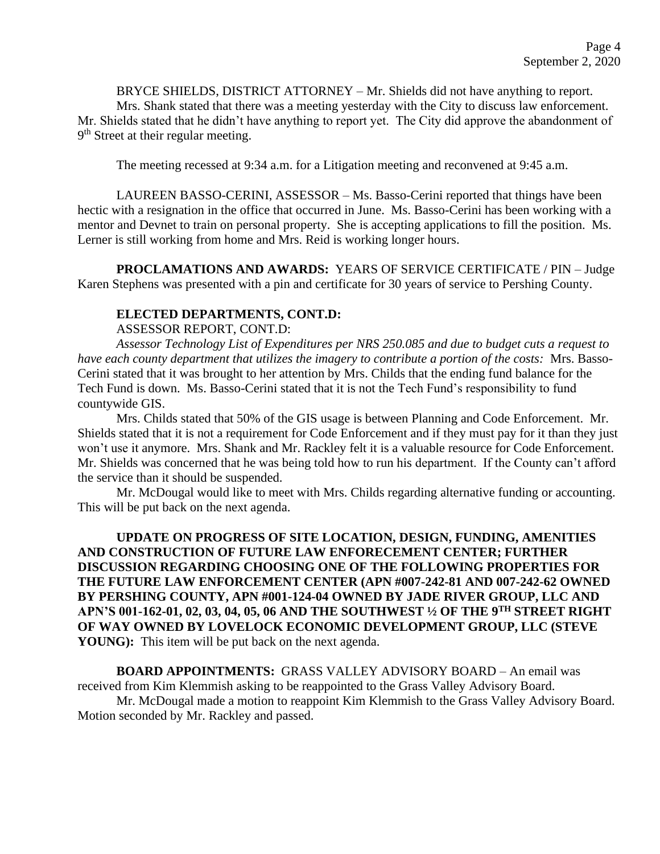BRYCE SHIELDS, DISTRICT ATTORNEY – Mr. Shields did not have anything to report.

Mrs. Shank stated that there was a meeting yesterday with the City to discuss law enforcement. Mr. Shields stated that he didn't have anything to report yet. The City did approve the abandonment of 9<sup>th</sup> Street at their regular meeting.

The meeting recessed at 9:34 a.m. for a Litigation meeting and reconvened at 9:45 a.m.

LAUREEN BASSO-CERINI, ASSESSOR – Ms. Basso-Cerini reported that things have been hectic with a resignation in the office that occurred in June. Ms. Basso-Cerini has been working with a mentor and Devnet to train on personal property. She is accepting applications to fill the position. Ms. Lerner is still working from home and Mrs. Reid is working longer hours.

**PROCLAMATIONS AND AWARDS:** YEARS OF SERVICE CERTIFICATE / PIN – Judge Karen Stephens was presented with a pin and certificate for 30 years of service to Pershing County.

## **ELECTED DEPARTMENTS, CONT.D:**

ASSESSOR REPORT, CONT.D:

*Assessor Technology List of Expenditures per NRS 250.085 and due to budget cuts a request to have each county department that utilizes the imagery to contribute a portion of the costs:* Mrs. Basso-Cerini stated that it was brought to her attention by Mrs. Childs that the ending fund balance for the Tech Fund is down. Ms. Basso-Cerini stated that it is not the Tech Fund's responsibility to fund countywide GIS.

Mrs. Childs stated that 50% of the GIS usage is between Planning and Code Enforcement. Mr. Shields stated that it is not a requirement for Code Enforcement and if they must pay for it than they just won't use it anymore. Mrs. Shank and Mr. Rackley felt it is a valuable resource for Code Enforcement. Mr. Shields was concerned that he was being told how to run his department. If the County can't afford the service than it should be suspended.

Mr. McDougal would like to meet with Mrs. Childs regarding alternative funding or accounting. This will be put back on the next agenda.

**UPDATE ON PROGRESS OF SITE LOCATION, DESIGN, FUNDING, AMENITIES AND CONSTRUCTION OF FUTURE LAW ENFORECEMENT CENTER; FURTHER DISCUSSION REGARDING CHOOSING ONE OF THE FOLLOWING PROPERTIES FOR THE FUTURE LAW ENFORCEMENT CENTER (APN #007-242-81 AND 007-242-62 OWNED BY PERSHING COUNTY, APN #001-124-04 OWNED BY JADE RIVER GROUP, LLC AND APN'S 001-162-01, 02, 03, 04, 05, 06 AND THE SOUTHWEST ½ OF THE 9TH STREET RIGHT OF WAY OWNED BY LOVELOCK ECONOMIC DEVELOPMENT GROUP, LLC (STEVE YOUNG**: This item will be put back on the next agenda.

**BOARD APPOINTMENTS:** GRASS VALLEY ADVISORY BOARD – An email was received from Kim Klemmish asking to be reappointed to the Grass Valley Advisory Board.

Mr. McDougal made a motion to reappoint Kim Klemmish to the Grass Valley Advisory Board. Motion seconded by Mr. Rackley and passed.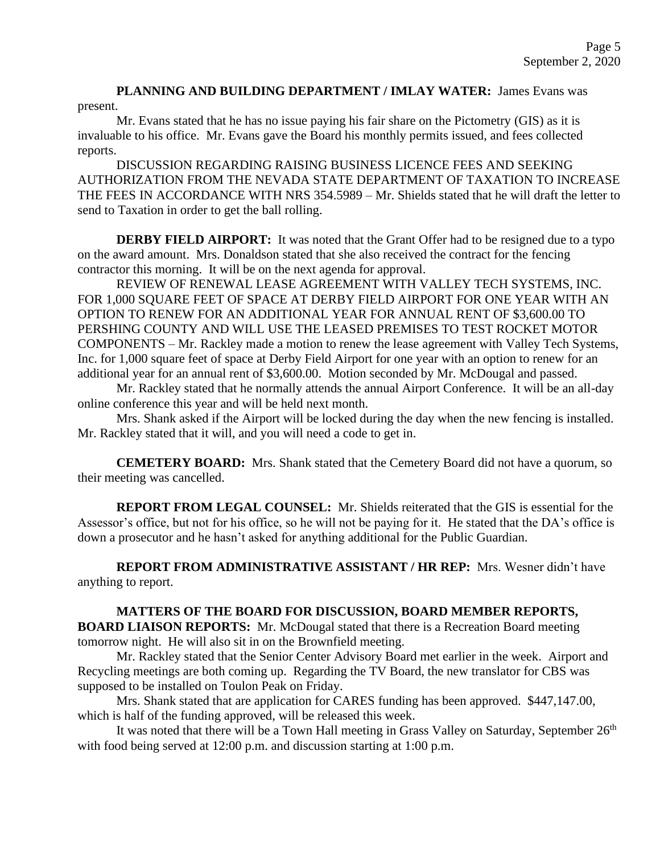**PLANNING AND BUILDING DEPARTMENT / IMLAY WATER:** James Evans was present.

Mr. Evans stated that he has no issue paying his fair share on the Pictometry (GIS) as it is invaluable to his office. Mr. Evans gave the Board his monthly permits issued, and fees collected reports.

DISCUSSION REGARDING RAISING BUSINESS LICENCE FEES AND SEEKING AUTHORIZATION FROM THE NEVADA STATE DEPARTMENT OF TAXATION TO INCREASE THE FEES IN ACCORDANCE WITH NRS 354.5989 – Mr. Shields stated that he will draft the letter to send to Taxation in order to get the ball rolling.

**DERBY FIELD AIRPORT:** It was noted that the Grant Offer had to be resigned due to a typo on the award amount. Mrs. Donaldson stated that she also received the contract for the fencing contractor this morning. It will be on the next agenda for approval.

REVIEW OF RENEWAL LEASE AGREEMENT WITH VALLEY TECH SYSTEMS, INC. FOR 1,000 SQUARE FEET OF SPACE AT DERBY FIELD AIRPORT FOR ONE YEAR WITH AN OPTION TO RENEW FOR AN ADDITIONAL YEAR FOR ANNUAL RENT OF \$3,600.00 TO PERSHING COUNTY AND WILL USE THE LEASED PREMISES TO TEST ROCKET MOTOR COMPONENTS – Mr. Rackley made a motion to renew the lease agreement with Valley Tech Systems, Inc. for 1,000 square feet of space at Derby Field Airport for one year with an option to renew for an additional year for an annual rent of \$3,600.00. Motion seconded by Mr. McDougal and passed.

Mr. Rackley stated that he normally attends the annual Airport Conference. It will be an all-day online conference this year and will be held next month.

Mrs. Shank asked if the Airport will be locked during the day when the new fencing is installed. Mr. Rackley stated that it will, and you will need a code to get in.

**CEMETERY BOARD:** Mrs. Shank stated that the Cemetery Board did not have a quorum, so their meeting was cancelled.

**REPORT FROM LEGAL COUNSEL:** Mr. Shields reiterated that the GIS is essential for the Assessor's office, but not for his office, so he will not be paying for it. He stated that the DA's office is down a prosecutor and he hasn't asked for anything additional for the Public Guardian.

**REPORT FROM ADMINISTRATIVE ASSISTANT / HR REP:** Mrs. Wesner didn't have anything to report.

**MATTERS OF THE BOARD FOR DISCUSSION, BOARD MEMBER REPORTS, BOARD LIAISON REPORTS:** Mr. McDougal stated that there is a Recreation Board meeting tomorrow night. He will also sit in on the Brownfield meeting.

Mr. Rackley stated that the Senior Center Advisory Board met earlier in the week. Airport and Recycling meetings are both coming up. Regarding the TV Board, the new translator for CBS was supposed to be installed on Toulon Peak on Friday.

Mrs. Shank stated that are application for CARES funding has been approved. \$447,147.00, which is half of the funding approved, will be released this week.

It was noted that there will be a Town Hall meeting in Grass Valley on Saturday, September 26<sup>th</sup> with food being served at 12:00 p.m. and discussion starting at 1:00 p.m.